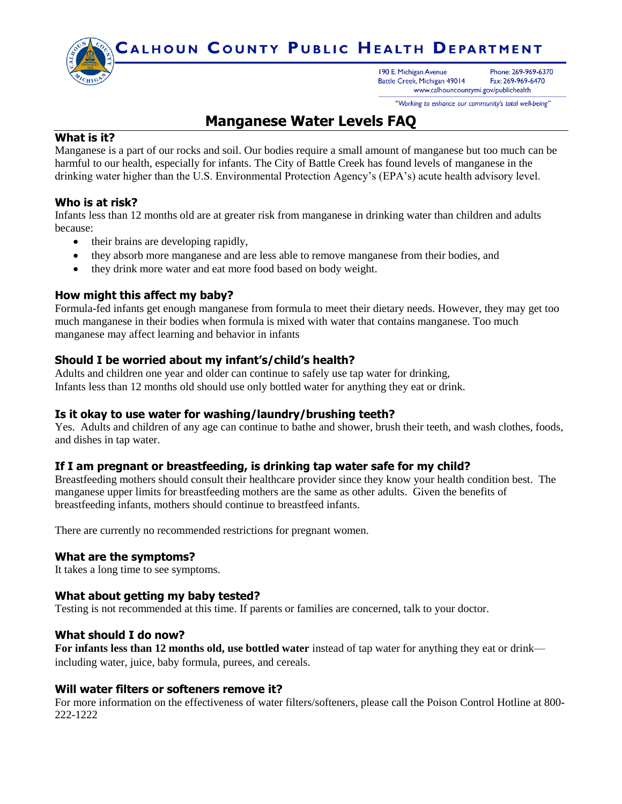

"Working to enhance our community's total well-being"

# **Manganese Water Levels FAQ**

## **What is it?**

Manganese is a part of our rocks and soil. Our bodies require a small amount of manganese but too much can be harmful to our health, especially for infants. The City of Battle Creek has found levels of manganese in the drinking water higher than the U.S. Environmental Protection Agency's (EPA's) acute health advisory level.

# **Who is at risk?**

Infants less than 12 months old are at greater risk from manganese in drinking water than children and adults because:

- their brains are developing rapidly,
- they absorb more manganese and are less able to remove manganese from their bodies, and
- they drink more water and eat more food based on body weight.

# **How might this affect my baby?**

Formula-fed infants get enough manganese from formula to meet their dietary needs. However, they may get too much manganese in their bodies when formula is mixed with water that contains manganese. Too much manganese may affect learning and behavior in infants

### **Should I be worried about my infant's/child's health?**

Adults and children one year and older can continue to safely use tap water for drinking, Infants less than 12 months old should use only bottled water for anything they eat or drink.

#### **Is it okay to use water for washing/laundry/brushing teeth?**

Yes. Adults and children of any age can continue to bathe and shower, brush their teeth, and wash clothes, foods, and dishes in tap water.

#### **If I am pregnant or breastfeeding, is drinking tap water safe for my child?**

Breastfeeding mothers should consult their healthcare provider since they know your health condition best. The manganese upper limits for breastfeeding mothers are the same as other adults. Given the benefits of breastfeeding infants, mothers should continue to breastfeed infants.

There are currently no recommended restrictions for pregnant women.

#### **What are the symptoms?**

It takes a long time to see symptoms.

#### **What about getting my baby tested?**

Testing is not recommended at this time. If parents or families are concerned, talk to your doctor.

#### **What should I do now?**

**For infants less than 12 months old, use bottled water** instead of tap water for anything they eat or drink including water, juice, baby formula, purees, and cereals.

#### **Will water filters or softeners remove it?**

For more information on the effectiveness of water filters/softeners, please call the Poison Control Hotline at 800- 222-1222